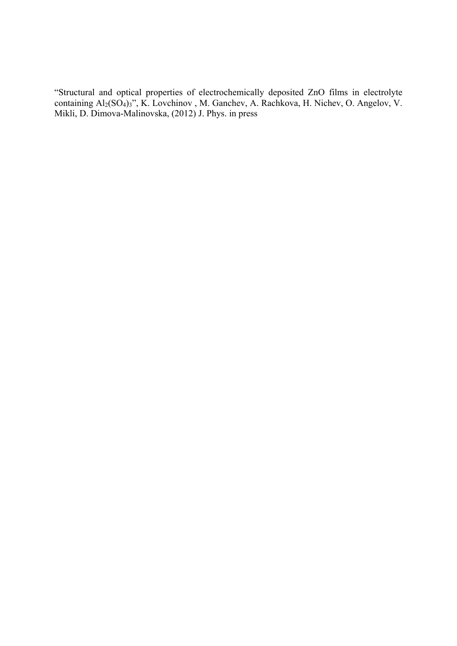"Structural and optical properties of electrochemically deposited ZnO films in electrolyte containing Al<sub>2</sub>(SO<sub>4</sub>)<sub>3</sub>", K. Lovchinov, M. Ganchev, A. Rachkova, H. Nichev, O. Angelov, V. Mikli, D. Dimova-Malinovska, (2012) J. Phys. in press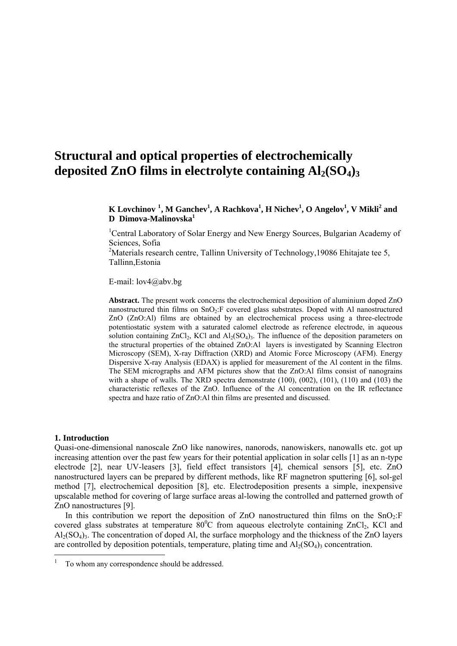# **Structural and optical properties of electrochemically**  deposited ZnO films in electrolyte containing  $Al_2(SO_4)$ <sub>3</sub>

**K** Lovchinov <sup>[1](#page-1-0)</sup>, M Ganchev<sup>1</sup>, A Rachkova<sup>1</sup>, H Nichev<sup>1</sup>, O Angelov<sup>1</sup>, V Mikli<sup>2</sup> and **D Dimova-Malinovska<sup>1</sup>**

<sup>1</sup>Central Laboratory of Solar Energy and New Energy Sources, Bulgarian Academy of Sciences, Sofia

<sup>2</sup>Materials research centre, Tallinn University of Technology, 19086 Ehitajate tee 5, Tallinn,Estonia

E-mail:  $lov4@abv.bg$ 

**Abstract.** The present work concerns the electrochemical deposition of aluminium doped ZnO nanostructured thin films on  $SnO<sub>2</sub>:F$  covered glass substrates. Doped with Al nanostructured ZnO (ZnO:Al) films are obtained by an electrochemical process using a three-electrode potentiostatic system with a saturated calomel electrode as reference electrode, in aqueous solution containing  $ZnCl_2$ , KCl and  $Al_2(SO_4)$ . The influence of the deposition parameters on the structural properties of the obtained ZnO:Al layers is investigated by Scanning Electron Microscopy (SEM), X-ray Diffraction (XRD) and Atomic Force Microscopy (AFM). Energy Dispersive X-ray Analysis (EDAX) is applied for measurement of the Al content in the films. The SEM micrographs and AFM pictures show that the ZnO:Al films consist of nanograins with a shape of walls. The XRD spectra demonstrate  $(100)$ ,  $(002)$ ,  $(101)$ ,  $(110)$  and  $(103)$  the characteristic reflexes of the ZnO. Influence of the Al concentration on the IR reflectance spectra and haze ratio of ZnO:Al thin films are presented and discussed.

## **1. Introduction**

-

Quasi-one-dimensional nanoscale ZnO like nanowires, nanorods, nanowiskers, nanowalls etc. got up increasing attention over the past few years for their potential application in solar cells [1] as an n-type electrode [2], near UV-leasers [3], field effect transistors [4], chemical sensors [5], etc. ZnO nanostructured layers can be prepared by different methods, like RF magnetron sputtering [6], sol-gel method [7], electrochemical deposition [8], etc. Electrodeposition presents a simple, inexpensive upscalable method for covering of large surface areas al-lowing the controlled and patterned growth of ZnO nanostructures [9].

In this contribution we report the deposition of ZnO nanostructured thin films on the  $SnO<sub>2</sub>:F$ covered glass substrates at temperature  $80^{\circ}$ C from aqueous electrolyte containing ZnCl<sub>2</sub>, KCl and  $Al_2(SO_4)$ <sup>3</sup>. The concentration of doped Al, the surface morphology and the thickness of the ZnO layers are controlled by deposition potentials, temperature, plating time and  $Al<sub>2</sub>(SO<sub>4</sub>)<sub>3</sub>$  concentration.

<span id="page-1-0"></span><sup>&</sup>lt;sup>1</sup> To whom any correspondence should be addressed.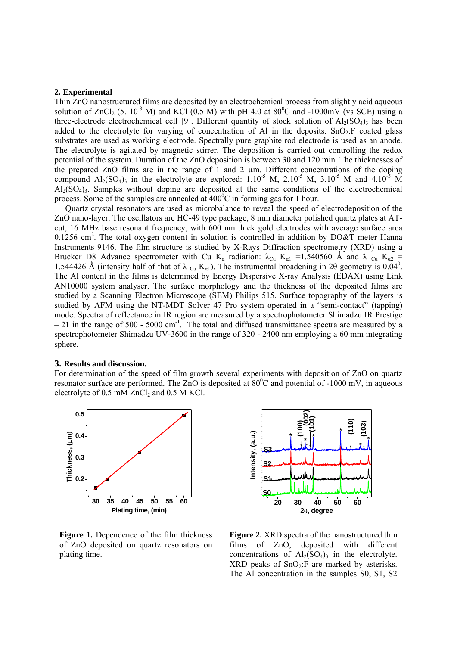# **2. Experimental**

Thin ZnO nanostructured films are deposited by an electrochemical process from slightly acid aqueous solution of ZnCl<sub>2</sub> (5. 10<sup>-3</sup> M) and KCl (0.5 M) with pH 4.0 at  $80^{\circ}$ C and -1000mV (vs SCE) using a three-electrode electrochemical cell [9]. Different quantity of stock solution of  $Al_2(SO_4)$ <sub>3</sub> has been added to the electrolyte for varying of concentration of Al in the deposits.  $SnO<sub>2</sub>:$  coated glass substrates are used as working electrode. Spectrally pure graphite rod electrode is used as an anode. The electrolyte is agitated by magnetic stirrer. The deposition is carried out controlling the redox potential of the system. Duration of the ZnO deposition is between 30 and 120 min. The thicknesses of the prepared ZnO films are in the range of 1 and 2 µm. Different concentrations of the doping compound  $Al_2(SO_4)$ <sub>3</sub> in the electrolyte are explored:  $1.10^{-5}$  M,  $2.10^{-5}$  M,  $3.10^{-5}$  M and  $4.10^{-5}$  M  $Al<sub>2</sub>(SO<sub>4</sub>)<sub>3</sub>$ . Samples without doping are deposited at the same conditions of the electrochemical process. Some of the samples are annealed at  $400^{\circ}$ C in forming gas for 1 hour.

Quartz crystal resonators are used as microbalance to reveal the speed of electrodeposition of the ZnO nano-layer. The oscillators are HC-49 type package, 8 mm diameter polished quartz plates at ATcut, 16 MHz base resonant frequency, with 600 nm thick gold electrodes with average surface area  $0.1256$  cm<sup>2</sup>. The total oxygen content in solution is controlled in addition by  $DO&T$  meter Hanna Instruments 9146. The film structure is studied by X-Rays Diffraction spectrometry (XRD) using a Brucker D8 Advance spectrometer with Cu K<sub>a</sub> radiation:  $\lambda_{Cu}$  K<sub>a1</sub> =1.540560 Å and  $\lambda_{Cu}$  K<sub>a2</sub> = 1.544426 Å (intensity half of that of  $\lambda_{\text{Cu}} K_{\text{at}}$ ). The instrumental broadening in 20 geometry is 0.04<sup>0</sup>. The Al content in the films is determined by Energy Dispersive X-ray Analysis (EDAX) using Link AN10000 system analyser. The surface morphology and the thickness of the deposited films are studied by a Scanning Electron Microscope (SEM) Philips 515. Surface topography of the layers is studied by AFM using the NT-MDT Solver 47 Pro system operated in a "semi-contact" (tapping) mode. Spectra of reflectance in IR region are measured by a spectrophotometer Shimadzu IR Prestige  $-21$  in the range of 500 - 5000 cm<sup>-1</sup>. The total and diffused transmittance spectra are measured by a spectrophotometer Shimadzu UV-3600 in the range of 320 - 2400 nm employing a 60 mm integrating sphere.

#### **3. Results and discussion.**

For determination of the speed of film growth several experiments with deposition of ZnO on quartz resonator surface are performed. The ZnO is deposited at  $80^{\circ}$ C and potential of -1000 mV, in aqueous electrolyte of  $0.5 \text{ mM } ZnCl_2$  and  $0.5 \text{ M } KCl$ .



**2**<br> **2 2**<br> **2**<br> **2 2 2**<br> **2 do**<br> **2 do**<br> **2 do**<br> **2 do (101) (110) (100) (103) \*** ntensity, (a.u.) **Intensity, (a.u.) \* \* \* \* \* S3 S2 S1 S0 20 30 40 50 60**

**Figure 1.** Dependence of the film thickness of ZnO deposited on quartz resonators on plating time.

The Al concentration in the samples  $S_0$ ,  $S_1$ ,  $S_2$ **Figure 2.** XRD spectra of the nanostructured thin films of ZnO, deposited with different concentrations of  $Al<sub>2</sub>(SO<sub>4</sub>)$ <sub>3</sub> in the electrolyte.  $XRD$  peaks of  $SnO<sub>2</sub>:F$  are marked by asterisks.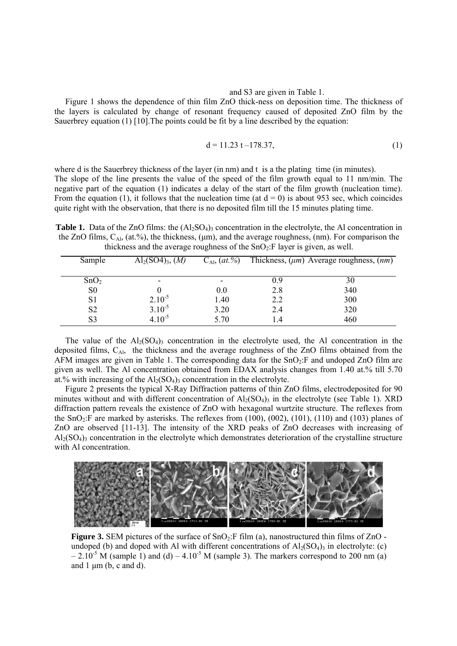## and S3 are given in Table 1.

Figure 1 shows the dependence of thin film ZnO thick-ness on deposition time. The thickness of the layers is calculated by change of resonant frequency caused of deposited ZnO film by the Sauerbrey equation  $(1)$  [10]. The points could be fit by a line described by the equation:

$$
d = 11.23 t - 178.37, \tag{1}
$$

From the equation (1), it follows that the nucleation time (at  $d = 0$ ) is about 953 sec, which coincides quite right with the observation, that there is no deposited film till the 15 minutes plating time. where d is the Sauerbrey thickness of the layer (in nm) and t is a the plating time (in minutes). The slope of the line presents the value of the speed of the film growth equal to 11 nm/min. The negative part of the equation (1) indicates a delay of the start of the film growth (nucleation time).

**Table 1.** Data of the ZnO films: the  $(Al_2SO_4)$ <sub>3</sub> concentration in the electrolyte, the Al concentration in the ZnO films,  $C_{Al}$ , (at.%), the thickness, ( $\mu$ m), and the average roughness, (nm). For comparison the thickness and the average roughness of the  $SnO<sub>2</sub>:F$  layer is given, as well.

| Sample           | $\mathrm{Al}_2(SO4)_3$ , $(M)$ | $C_{Al}, (at. \%)$ |     | Thickness, $(\mu m)$ Average roughness, $(nm)$ |
|------------------|--------------------------------|--------------------|-----|------------------------------------------------|
| SnO <sub>2</sub> | ۰                              |                    | 0.9 | 30                                             |
| S <sub>0</sub>   |                                | 0.0                | 2.8 | 340                                            |
| S1               | $2.10^{-5}$                    | 1.40               | 2.2 | 300                                            |
| S2               | $3.10^{-5}$                    | 3.20               | 2.4 | 320                                            |
| S3               | $4.10^{-5}$                    | 5.70               | 1.4 | 460                                            |

given as well. The Al concentration obtained from EDAX analysis changes from 1.40 at.% till 5.70 at.% with increasing of the  $\text{Al}_2(\text{SO}_4)$ <sub>3</sub> concentration in the electrolyte. The value of the  $Al_2(SO_4)$ <sub>3</sub> concentration in the electrolyte used, the Al concentration in the deposited films, CAl, the thickness and the average roughness of the ZnO films obtained from the AFM images are given in Table 1. The corresponding data for the  $SnO<sub>2</sub>:F$  and undoped ZnO film are

 $\text{Al}_2(\text{SO}_4)$ <sub>3</sub> concentration in the electrolyte which demonstrates deterioration of the crystalline structure with Al concentration. Figure 2 presents the typical X-Ray Diffraction patterns of thin ZnO films, electrodeposited for 90 minutes without and with different concentration of  $Al_2(SO_4)$ <sub>3</sub> in the electrolyte (see Table 1). XRD diffraction pattern reveals the existence of ZnO with hexagonal wurtzite structure. The reflexes from the SnO<sub>2</sub>:F are marked by asterisks. The reflexes from  $(100)$ ,  $(002)$ ,  $(101)$ ,  $(110)$  and  $(103)$  planes of ZnO are observed [11-13]. The intensity of the XRD peaks of ZnO decreases with increasing of



**Figure 3.** SEM pictures of the surface of  $SnO<sub>2</sub>$ : F film (a), nanostructured thin films of  $ZnO$  undoped (b) and doped with Al with different concentrations of  $A_1(SO_4)$ <sub>3</sub> in electrolyte: (c)  $-2.10^{-5}$  M (sample 1) and (d)  $-4.10^{-5}$  M (sample 3). The markers correspond to 200 nm (a) and  $1 \mu m$  (b, c and d).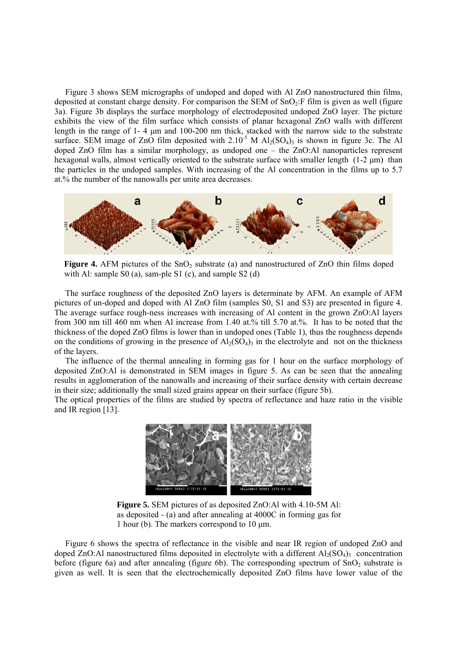Figure 3 shows SEM micrographs of undoped and doped with Al ZnO nanostructured thin films, deposited at constant charge density. For comparison the SEM of  $SnO<sub>2</sub>:$  film is given as well (figure 3a). Figure 3b displays the surface morphology of electrodeposited undoped ZnO layer. The picture exhibits the view of the film surface which consists of planar hexagonal ZnO walls with different length in the range of 1- 4 μm and 100-200 nm thick, stacked with the narrow side to the substrate surface. SEM image of ZnO film deposited with  $2.10^{-5}$  M Al<sub>2</sub>(SO<sub>4</sub>)<sub>3</sub> is shown in figure 3c. The Al doped ZnO film has a similar morphology, as undoped one – the ZnO:Al nanoparticles represent hexagonal walls, almost vertically oriented to the substrate surface with smaller length (1-2 μm) than the particles in the undoped samples. With increasing of the Al concentration in the films up to 5.7 at.% the number of the nanowalls per unite area decreases.



**Figure 4.** AFM pictures of the  $SnO<sub>2</sub>$  substrate (a) and nanostructured of ZnO thin films doped with Al: sample S0 (a), sam-ple S1 (c), and sample S2 (d)

The surface roughness of the deposited ZnO layers is determinate by AFM. An example of AFM pictures of un-doped and doped with Al ZnO film (samples S0, S1 and S3) are presented in figure 4. The average surface rough-ness increases with increasing of Al content in the grown ZnO:Al layers from 300 nm till 460 nm when Al increase from 1.40 at.% till 5.70 at.%. It has to be noted that the thickness of the doped ZnO films is lower than in undoped ones (Table 1), thus the roughness depends on the conditions of growing in the presence of  $Al_2(SO_4)$ <sub>3</sub> in the electrolyte and not on the thickness of the layers.

The influence of the thermal annealing in forming gas for 1 hour on the surface morphology of deposited ZnO:Al is demonstrated in SEM images in figure 5. As can be seen that the annealing results in agglomeration of the nanowalls and increasing of their surface density with certain decrease in their size; additionally the small sized grains appear on their surface (figure 5b).

The optical properties of the films are studied by spectra of reflectance and haze ratio in the visible and IR region [13].



**Figure 5.** SEM pictures of as deposited ZnO:Al with 4.10-5M Al: as deposited - (a) and after annealing at 4000C in forming gas for 1 hour (b). The markers correspond to 10 μm.

Figure 6 shows the spectra of reflectance in the visible and near IR region of undoped ZnO and doped ZnO:Al nanostructured films deposited in electrolyte with a different  $Al_2(SO_4)$ <sub>3</sub> concentration before (figure 6a) and after annealing (figure 6b). The corresponding spectrum of  $SnO<sub>2</sub>$  substrate is given as well. It is seen that the electrochemically deposited ZnO films have lower value of the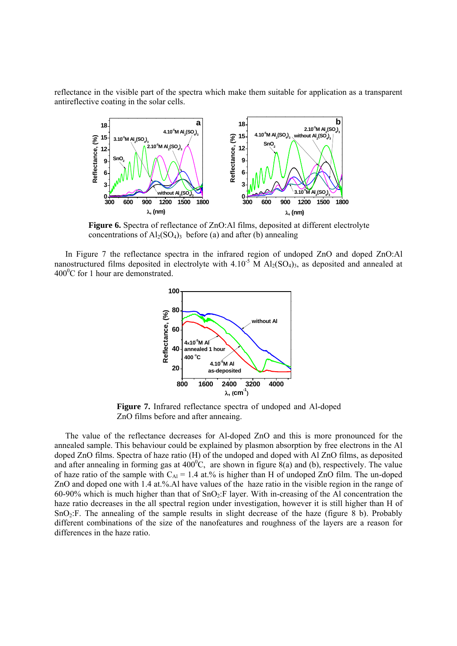reflectance in the visible part of the spectra which make them suitable for application as a transparent antireflective coating in the solar cells.



**Figure 6.** Spectra of reflectance of ZnO:Al films, deposited at different electrolyte concentrations of  $\text{Al}_2(\text{SO}_4)$ <sub>3</sub> before (a) and after (b) annealing

In Figure 7 the reflectance spectra in the infrared region of undoped ZnO and doped ZnO:Al nanostructured films deposited in electrolyte with  $4.10^{-5}$  M  $Al_2(SO_4)_3$ , as deposited and annealed at  $400^{\circ}$ C for 1 hour are demonstrated.



**Figure 7.** Infrared reflectance spectra of undoped and Al-doped ZnO films before and after anneaing.

The value of the reflectance decreases for Al-doped ZnO and this is more pronounced for the annealed sample. This behaviour could be explained by plasmon absorption by free electrons in the Al doped ZnO films. Spectra of haze ratio (H) of the undoped and doped with Al ZnO films, as deposited and after annealing in forming gas at  $400^{\circ}$ C, are shown in figure 8(a) and (b), respectively. The value of haze ratio of the sample with  $C_{Al} = 1.4$  at.% is higher than H of undoped ZnO film. The un-doped ZnO and doped one with 1.4 at.%.Al have values of the haze ratio in the visible region in the range of 60-90% which is much higher than that of  $SnO<sub>2</sub>:$  layer. With in-creasing of the Al concentration the haze ratio decreases in the all spectral region under investigation, however it is still higher than H of SnO2:F. The annealing of the sample results in slight decrease of the haze (figure 8 b). Probably different combinations of the size of the nanofeatures and roughness of the layers are a reason for differences in the haze ratio.